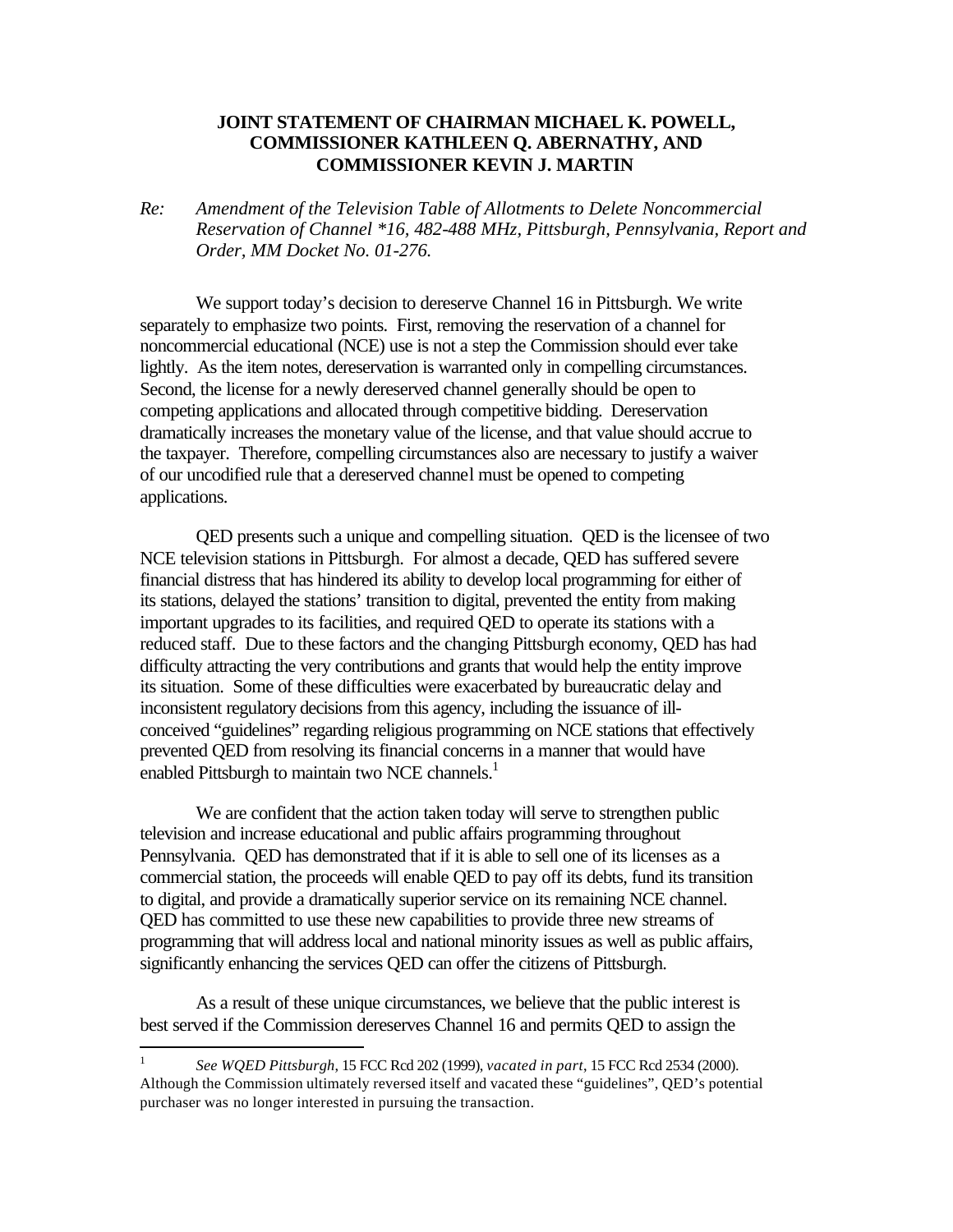## **JOINT STATEMENT OF CHAIRMAN MICHAEL K. POWELL, COMMISSIONER KATHLEEN Q. ABERNATHY, AND COMMISSIONER KEVIN J. MARTIN**

*Re: Amendment of the Television Table of Allotments to Delete Noncommercial Reservation of Channel \*16, 482-488 MHz, Pittsburgh, Pennsylvania, Report and Order, MM Docket No. 01-276.*

We support today's decision to dereserve Channel 16 in Pittsburgh. We write separately to emphasize two points. First, removing the reservation of a channel for noncommercial educational (NCE) use is not a step the Commission should ever take lightly. As the item notes, dereservation is warranted only in compelling circumstances. Second, the license for a newly dereserved channel generally should be open to competing applications and allocated through competitive bidding. Dereservation dramatically increases the monetary value of the license, and that value should accrue to the taxpayer. Therefore, compelling circumstances also are necessary to justify a waiver of our uncodified rule that a dereserved channel must be opened to competing applications.

QED presents such a unique and compelling situation. QED is the licensee of two NCE television stations in Pittsburgh. For almost a decade, QED has suffered severe financial distress that has hindered its ability to develop local programming for either of its stations, delayed the stations' transition to digital, prevented the entity from making important upgrades to its facilities, and required QED to operate its stations with a reduced staff. Due to these factors and the changing Pittsburgh economy, QED has had difficulty attracting the very contributions and grants that would help the entity improve its situation. Some of these difficulties were exacerbated by bureaucratic delay and inconsistent regulatory decisions from this agency, including the issuance of illconceived "guidelines" regarding religious programming on NCE stations that effectively prevented QED from resolving its financial concerns in a manner that would have enabled Pittsburgh to maintain two NCE channels.<sup>1</sup>

We are confident that the action taken today will serve to strengthen public television and increase educational and public affairs programming throughout Pennsylvania. QED has demonstrated that if it is able to sell one of its licenses as a commercial station, the proceeds will enable QED to pay off its debts, fund its transition to digital, and provide a dramatically superior service on its remaining NCE channel. QED has committed to use these new capabilities to provide three new streams of programming that will address local and national minority issues as well as public affairs, significantly enhancing the services QED can offer the citizens of Pittsburgh.

As a result of these unique circumstances, we believe that the public interest is best served if the Commission dereserves Channel 16 and permits QED to assign the

<sup>|&</sup>lt;br>|<br>| *See WQED Pittsburgh*, 15 FCC Rcd 202 (1999), *vacated in part*, 15 FCC Rcd 2534 (2000). Although the Commission ultimately reversed itself and vacated these "guidelines", QED's potential purchaser was no longer interested in pursuing the transaction.